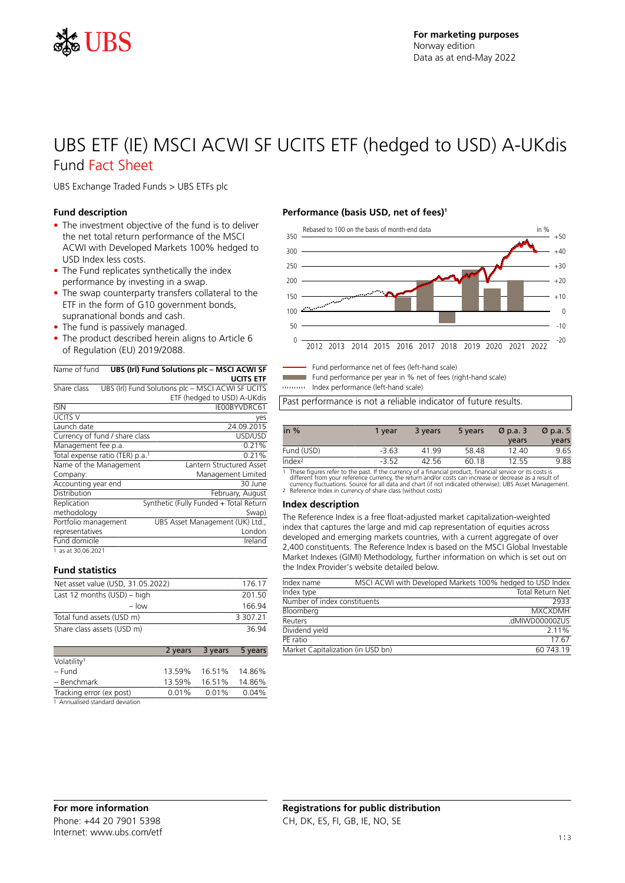

## UBS ETF (IE) MSCI ACWI SF UCITS ETF (hedged to USD) A-UKdis Fund Fact Sheet

UBS Exchange Traded Funds > UBS ETFs plc

#### **Fund description**

- The investment objective of the fund is to deliver the net total return performance of the MSCI ACWI with Developed Markets 100% hedged to USD Index less costs.
- The Fund replicates synthetically the index performance by investing in a swap.
- The swap counterparty transfers collateral to the ETF in the form of G10 government bonds, supranational bonds and cash.
- The fund is passively managed.
- The product described herein aligns to Article 6 of Regulation (EU) 2019/2088.

#### Name of fund **UBS (Irl) Fund Solutions plc – MSCI ACWI SF UCITS ETF**

| Share class                                 | UBS (Irl) Fund Solutions plc - MSCI ACWI SF UCITS |
|---------------------------------------------|---------------------------------------------------|
|                                             | ETF (hedged to USD) A-UKdis                       |
| <b>ISIN</b>                                 | IE00BYVDRC61                                      |
| <b>UCITS V</b>                              | yes                                               |
| Launch date                                 | 24.09.2015                                        |
| Currency of fund / share class              | USD/USD                                           |
| Management fee p.a.                         | 0.21%                                             |
| Total expense ratio (TER) p.a. <sup>1</sup> | 0.21%                                             |
| Name of the Management                      | Lantern Structured Asset                          |
| Company:                                    | Management Limited                                |
| Accounting year end                         | 30 June                                           |
| Distribution                                | February, August                                  |
| Replication                                 | Synthetic (Fully Funded + Total Return            |
| methodology                                 | Swap)                                             |
| Portfolio management                        | UBS Asset Management (UK) Ltd.,                   |
| representatives                             | London                                            |
| Fund domicile                               | Ireland                                           |
| 1 as at 30.06.2021                          |                                                   |

#### **Fund statistics**

| Net asset value (USD, 31.05.2022) | 176.17        |
|-----------------------------------|---------------|
| Last 12 months $(USD)$ – high     | 201.50        |
| $-$ low                           | 166 94        |
| Total fund assets (USD m)         | 3 3 0 7 . 2 1 |
| Share class assets (USD m)        | 36.94         |

|                          | 2 years | 3 years | 5 years |
|--------------------------|---------|---------|---------|
| Volatility <sup>1</sup>  |         |         |         |
| – Fund                   | 13.59%  | 16.51%  | 14.86%  |
| - Benchmark              | 13.59%  | 16.51%  | 14.86%  |
| Tracking error (ex post) | 0.01%   | 0.01%   | 0.04%   |
| .                        |         |         |         |

1 Annualised standard deviation

### **Performance (basis USD, net of fees)<sup>1</sup>**



Fund performance net of fees (left-hand scale)

Fund performance per year in % net of fees (right-hand scale)

Index performance (left-hand scale)

Past performance is not a reliable indicator of future results.

| in $%$             | 1 vear  | 3 years | 5 years | $\varnothing$ p.a. 3 | $\varnothing$ p.a. 5 |
|--------------------|---------|---------|---------|----------------------|----------------------|
|                    |         |         |         | years                | years                |
| Fund (USD)         | $-3.63$ | 41 99   | 58.48   | 12.40                | 9.65                 |
| Index <sup>2</sup> | $-3.52$ | 42.56   | 60.18   | 12.55                | 9.88                 |

1 These figures refer to the past. If the currency of a financial product, financial service or its costs is<br>different from your reference currency, the return and/or costs can increase or decrease as a result of<br>currency

#### **Index description**

The Reference Index is a free float-adjusted market capitalization-weighted index that captures the large and mid cap representation of equities across developed and emerging markets countries, with a current aggregate of over 2,400 constituents. The Reference Index is based on the MSCI Global Investable Market Indexes (GIMI) Methodology, further information on which is set out on the Index Provider's website detailed below.

| Index name                        | MSCI ACWI with Developed Markets 100% hedged to USD Index |
|-----------------------------------|-----------------------------------------------------------|
| Index type                        | Total Return Net                                          |
| Number of index constituents      | 2933                                                      |
| Bloomberg                         | <b>MXCXDMH</b>                                            |
| Reuters                           | .dMIWD00000ZUS                                            |
| Dividend yield                    | 2.11%                                                     |
| PF ratio                          | 17.67                                                     |
| Market Capitalization (in USD bn) | 60743.19                                                  |
|                                   |                                                           |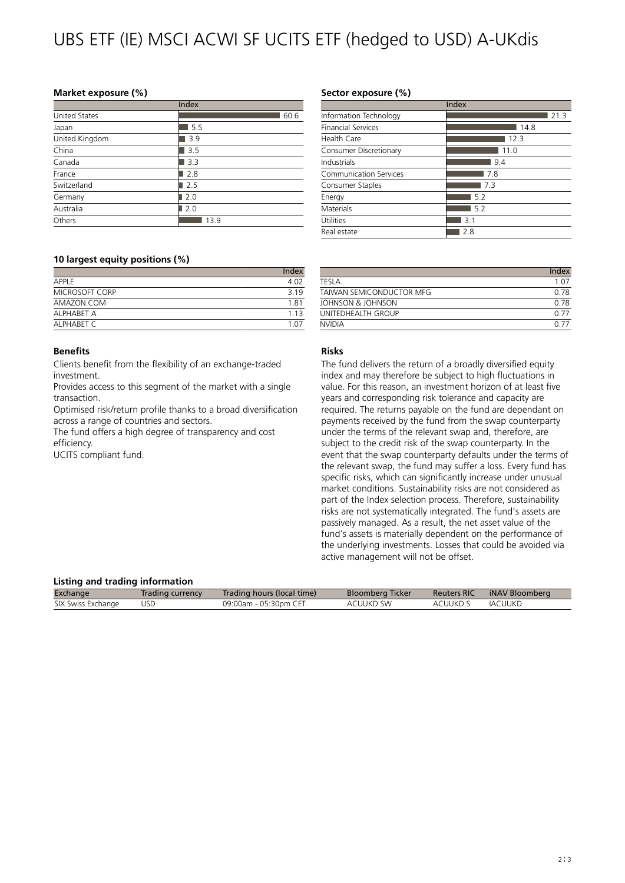# UBS ETF (IE) MSCI ACWI SF UCITS ETF (hedged to USD) A-UKdis

#### **Market exposure (%)**

|                      | Index |
|----------------------|-------|
| <b>United States</b> | 60.6  |
| Japan                | 5.5   |
| United Kingdom       | 3.9   |
| China                | 3.5   |
| Canada               | 3.3   |
| France               | 2.8   |
| Switzerland          | 2.5   |
| Germany              | 2.0   |
| Australia            | 2.0   |
| Others               | 13.9  |

#### **10 largest equity positions (%)**

|                | Index |
|----------------|-------|
| APPI F         | 4.02  |
| MICROSOFT CORP | 3 1 9 |
| AMAZON.COM     | 1.81  |
| AI PHABFT A    | 113   |
| AI PHABET C    | 1 N 7 |

#### **Benefits**

Clients benefit from the flexibility of an exchange-traded investment.

Provides access to this segment of the market with a single transaction.

Optimised risk/return profile thanks to a broad diversification across a range of countries and sectors.

The fund offers a high degree of transparency and cost efficiency.

UCITS compliant fund.

#### **Sector exposure (%)**

|                           | Index |
|---------------------------|-------|
| Information Technology    | 21.3  |
| <b>Financial Services</b> | 14.8  |
| Health Care               | 123   |
| Consumer Discretionary    | 11.0  |
| Industrials               | 9.4   |
| Communication Services    | 7.8   |
| Consumer Staples          | 7.3   |
| Energy                    | 5.2   |
| Materials                 | 5.2   |
| Utilities                 | 3.1   |
| Real estate               | 2.8   |

|                          | Index |
|--------------------------|-------|
| TFSI A                   | 1.07  |
| TAIWAN SEMICONDUCTOR MEG | 0.78  |
| JOHNSON & JOHNSON        | O 78  |
| UNITEDHEALTH GROUP       | O 77  |
| <b>NVIDIA</b>            |       |

#### **Risks**

The fund delivers the return of a broadly diversified equity index and may therefore be subject to high fluctuations in value. For this reason, an investment horizon of at least five years and corresponding risk tolerance and capacity are required. The returns payable on the fund are dependant on payments received by the fund from the swap counterparty under the terms of the relevant swap and, therefore, are subject to the credit risk of the swap counterparty. In the event that the swap counterparty defaults under the terms of the relevant swap, the fund may suffer a loss. Every fund has specific risks, which can significantly increase under unusual market conditions. Sustainability risks are not considered as part of the Index selection process. Therefore, sustainability risks are not systematically integrated. The fund's assets are passively managed. As a result, the net asset value of the fund's assets is materially dependent on the performance of the underlying investments. Losses that could be avoided via active management will not be offset.

#### **Listing and trading information**

| Eisenig and craanig information |                  |                            |                         |                    |                |  |
|---------------------------------|------------------|----------------------------|-------------------------|--------------------|----------------|--|
| Exchange                        | Trading currency | Trading hours (local time) | <b>Bloomberg Ticker</b> | <b>Reuters RIC</b> | iNAV Bloomberg |  |
| SIX Swiss Exchange              | USD.             | 09:00am - 05:30pm CET      | ACUUKD SW               | ACUUKD.S           | IACUUKD        |  |